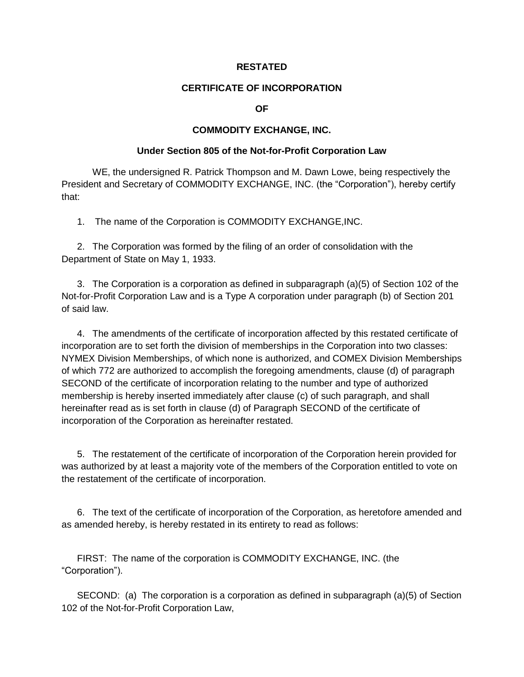## **RESTATED**

## **CERTIFICATE OF INCORPORATION**

**OF**

## **COMMODITY EXCHANGE, INC.**

## **Under Section 805 of the Not-for-Profit Corporation Law**

WE, the undersigned R. Patrick Thompson and M. Dawn Lowe, being respectively the President and Secretary of COMMODITY EXCHANGE, INC. (the "Corporation"), hereby certify that:

1. The name of the Corporation is COMMODITY EXCHANGE,INC.

2. The Corporation was formed by the filing of an order of consolidation with the Department of State on May 1, 1933.

3. The Corporation is a corporation as defined in subparagraph (a)(5) of Section 102 of the Not-for-Profit Corporation Law and is a Type A corporation under paragraph (b) of Section 201 of said law.

4. The amendments of the certificate of incorporation affected by this restated certificate of incorporation are to set forth the division of memberships in the Corporation into two classes: NYMEX Division Memberships, of which none is authorized, and COMEX Division Memberships of which 772 are authorized to accomplish the foregoing amendments, clause (d) of paragraph SECOND of the certificate of incorporation relating to the number and type of authorized membership is hereby inserted immediately after clause (c) of such paragraph, and shall hereinafter read as is set forth in clause (d) of Paragraph SECOND of the certificate of incorporation of the Corporation as hereinafter restated.

5. The restatement of the certificate of incorporation of the Corporation herein provided for was authorized by at least a majority vote of the members of the Corporation entitled to vote on the restatement of the certificate of incorporation.

6. The text of the certificate of incorporation of the Corporation, as heretofore amended and as amended hereby, is hereby restated in its entirety to read as follows:

FIRST: The name of the corporation is COMMODITY EXCHANGE, INC. (the "Corporation").

SECOND: (a) The corporation is a corporation as defined in subparagraph (a)(5) of Section 102 of the Not-for-Profit Corporation Law,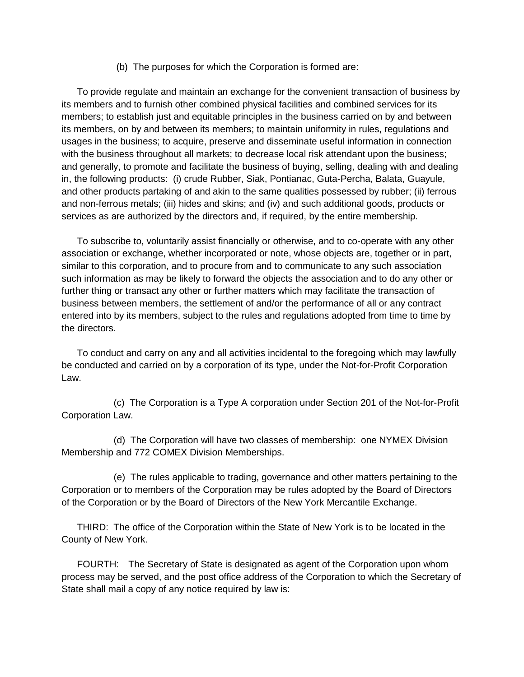(b) The purposes for which the Corporation is formed are:

To provide regulate and maintain an exchange for the convenient transaction of business by its members and to furnish other combined physical facilities and combined services for its members; to establish just and equitable principles in the business carried on by and between its members, on by and between its members; to maintain uniformity in rules, regulations and usages in the business; to acquire, preserve and disseminate useful information in connection with the business throughout all markets; to decrease local risk attendant upon the business; and generally, to promote and facilitate the business of buying, selling, dealing with and dealing in, the following products: (i) crude Rubber, Siak, Pontianac, Guta-Percha, Balata, Guayule, and other products partaking of and akin to the same qualities possessed by rubber; (ii) ferrous and non-ferrous metals; (iii) hides and skins; and (iv) and such additional goods, products or services as are authorized by the directors and, if required, by the entire membership.

To subscribe to, voluntarily assist financially or otherwise, and to co-operate with any other association or exchange, whether incorporated or note, whose objects are, together or in part, similar to this corporation, and to procure from and to communicate to any such association such information as may be likely to forward the objects the association and to do any other or further thing or transact any other or further matters which may facilitate the transaction of business between members, the settlement of and/or the performance of all or any contract entered into by its members, subject to the rules and regulations adopted from time to time by the directors.

To conduct and carry on any and all activities incidental to the foregoing which may lawfully be conducted and carried on by a corporation of its type, under the Not-for-Profit Corporation Law.

 (c) The Corporation is a Type A corporation under Section 201 of the Not-for-Profit Corporation Law.

 (d) The Corporation will have two classes of membership: one NYMEX Division Membership and 772 COMEX Division Memberships.

 (e) The rules applicable to trading, governance and other matters pertaining to the Corporation or to members of the Corporation may be rules adopted by the Board of Directors of the Corporation or by the Board of Directors of the New York Mercantile Exchange.

THIRD: The office of the Corporation within the State of New York is to be located in the County of New York.

FOURTH: The Secretary of State is designated as agent of the Corporation upon whom process may be served, and the post office address of the Corporation to which the Secretary of State shall mail a copy of any notice required by law is: